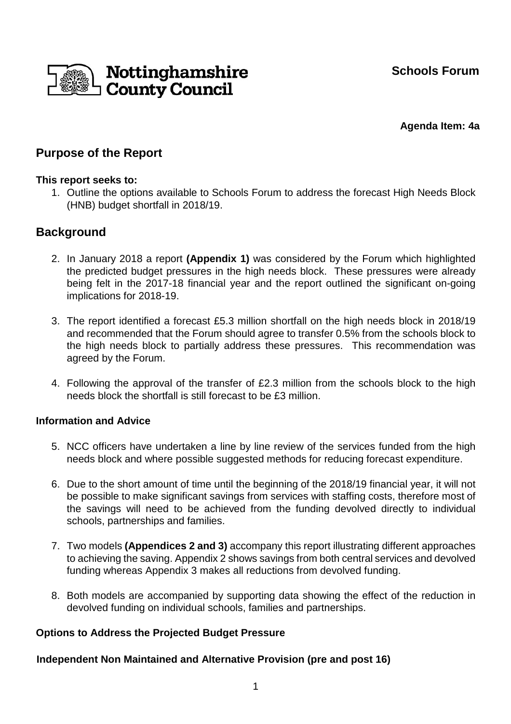**Schools Forum** 



**Agenda Item: 4a** 

# **Purpose of the Report**

## **This report seeks to:**

1. Outline the options available to Schools Forum to address the forecast High Needs Block (HNB) budget shortfall in 2018/19.

# **Background**

- 2. In January 2018 a report **(Appendix 1)** was considered by the Forum which highlighted the predicted budget pressures in the high needs block. These pressures were already being felt in the 2017-18 financial year and the report outlined the significant on-going implications for 2018-19.
- 3. The report identified a forecast £5.3 million shortfall on the high needs block in 2018/19 and recommended that the Forum should agree to transfer 0.5% from the schools block to the high needs block to partially address these pressures. This recommendation was agreed by the Forum.
- 4. Following the approval of the transfer of £2.3 million from the schools block to the high needs block the shortfall is still forecast to be £3 million.

## **Information and Advice**

- 5. NCC officers have undertaken a line by line review of the services funded from the high needs block and where possible suggested methods for reducing forecast expenditure.
- 6. Due to the short amount of time until the beginning of the 2018/19 financial year, it will not be possible to make significant savings from services with staffing costs, therefore most of the savings will need to be achieved from the funding devolved directly to individual schools, partnerships and families.
- 7. Two models **(Appendices 2 and 3)** accompany this report illustrating different approaches to achieving the saving. Appendix 2 shows savings from both central services and devolved funding whereas Appendix 3 makes all reductions from devolved funding.
- 8. Both models are accompanied by supporting data showing the effect of the reduction in devolved funding on individual schools, families and partnerships.

# **Options to Address the Projected Budget Pressure**

**Independent Non Maintained and Alternative Provision (pre and post 16)**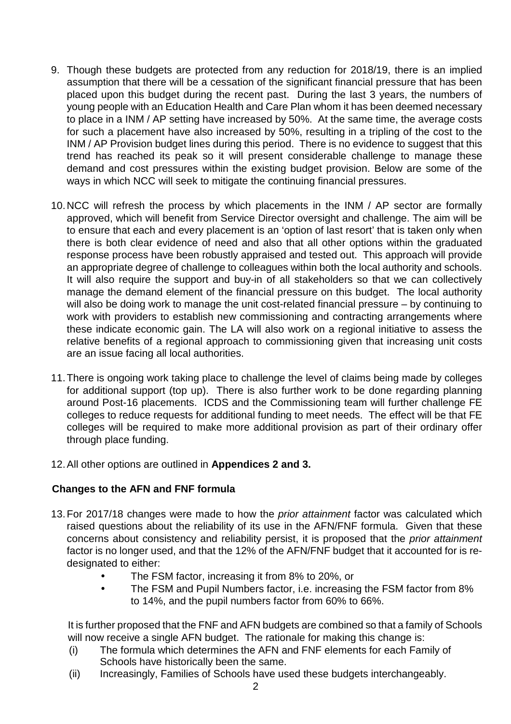- 9. Though these budgets are protected from any reduction for 2018/19, there is an implied assumption that there will be a cessation of the significant financial pressure that has been placed upon this budget during the recent past. During the last 3 years, the numbers of young people with an Education Health and Care Plan whom it has been deemed necessary to place in a INM / AP setting have increased by 50%. At the same time, the average costs for such a placement have also increased by 50%, resulting in a tripling of the cost to the INM / AP Provision budget lines during this period. There is no evidence to suggest that this trend has reached its peak so it will present considerable challenge to manage these demand and cost pressures within the existing budget provision. Below are some of the ways in which NCC will seek to mitigate the continuing financial pressures.
- 10. NCC will refresh the process by which placements in the INM / AP sector are formally approved, which will benefit from Service Director oversight and challenge. The aim will be to ensure that each and every placement is an 'option of last resort' that is taken only when there is both clear evidence of need and also that all other options within the graduated response process have been robustly appraised and tested out. This approach will provide an appropriate degree of challenge to colleagues within both the local authority and schools. It will also require the support and buy-in of all stakeholders so that we can collectively manage the demand element of the financial pressure on this budget. The local authority will also be doing work to manage the unit cost-related financial pressure – by continuing to work with providers to establish new commissioning and contracting arrangements where these indicate economic gain. The LA will also work on a regional initiative to assess the relative benefits of a regional approach to commissioning given that increasing unit costs are an issue facing all local authorities.
- 11. There is ongoing work taking place to challenge the level of claims being made by colleges for additional support (top up). There is also further work to be done regarding planning around Post-16 placements. ICDS and the Commissioning team will further challenge FE colleges to reduce requests for additional funding to meet needs. The effect will be that FE colleges will be required to make more additional provision as part of their ordinary offer through place funding.
- 12. All other options are outlined in **Appendices 2 and 3.**

# **Changes to the AFN and FNF formula**

- 13. For 2017/18 changes were made to how the prior attainment factor was calculated which raised questions about the reliability of its use in the AFN/FNF formula. Given that these concerns about consistency and reliability persist, it is proposed that the prior attainment factor is no longer used, and that the 12% of the AFN/FNF budget that it accounted for is redesignated to either:
	- The FSM factor, increasing it from 8% to 20%, or
	- The FSM and Pupil Numbers factor, i.e. increasing the FSM factor from 8% to 14%, and the pupil numbers factor from 60% to 66%.

It is further proposed that the FNF and AFN budgets are combined so that a family of Schools will now receive a single AFN budget. The rationale for making this change is:

- (i) The formula which determines the AFN and FNF elements for each Family of Schools have historically been the same.
- (ii) Increasingly, Families of Schools have used these budgets interchangeably.